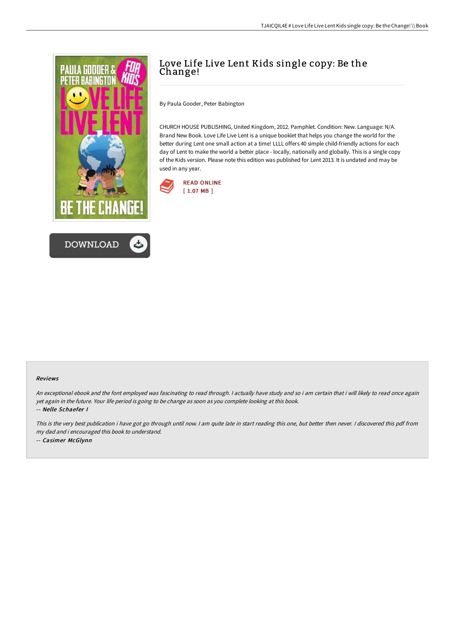



# Love Life Live Lent Kids single copy: Be the Change!

By Paula Gooder, Peter Babington

CHURCH HOUSE PUBLISHING, United Kingdom, 2012. Pamphlet. Condition: New. Language: N/A. Brand New Book. Love Life Live Lent is a unique booklet that helps you change the world for the better during Lent one small action at a time! LLLL offers 40 simple child-friendly actions for each day of Lent to make the world a better place - locally, nationally and globally. This is a single copy of the Kids version. Please note this edition was published for Lent 2013. It is undated and may be used in any year.



#### Reviews

An exceptional ebook and the font employed was fascinating to read through. <sup>I</sup> actually have study and so i am certain that i will likely to read once again yet again in the future. Your life period is going to be change as soon as you complete looking at this book. -- Nelle Schaefer I

This is the very best publication i have got go through until now. <sup>I</sup> am quite late in start reading this one, but better then never. <sup>I</sup> discovered this pdf from my dad and i encouraged this book to understand. -- Casimer McGlynn